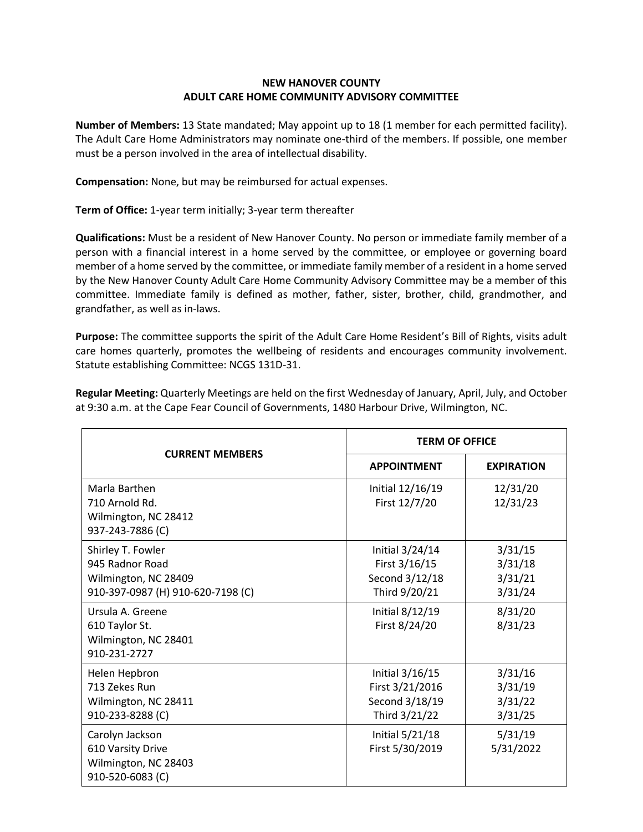## **NEW HANOVER COUNTY ADULT CARE HOME COMMUNITY ADVISORY COMMITTEE**

**Number of Members:** 13 State mandated; May appoint up to 18 (1 member for each permitted facility). The Adult Care Home Administrators may nominate one-third of the members. If possible, one member must be a person involved in the area of intellectual disability.

**Compensation:** None, but may be reimbursed for actual expenses.

**Term of Office:** 1-year term initially; 3-year term thereafter

**Qualifications:** Must be a resident of New Hanover County. No person or immediate family member of a person with a financial interest in a home served by the committee, or employee or governing board member of a home served by the committee, or immediate family member of a resident in a home served by the New Hanover County Adult Care Home Community Advisory Committee may be a member of this committee. Immediate family is defined as mother, father, sister, brother, child, grandmother, and grandfather, as well as in-laws.

**Purpose:** The committee supports the spirit of the Adult Care Home Resident's Bill of Rights, visits adult care homes quarterly, promotes the wellbeing of residents and encourages community involvement. Statute establishing Committee: NCGS 131D-31.

| <b>CURRENT MEMBERS</b>                                                                            | <b>TERM OF OFFICE</b>                                                 |                                          |
|---------------------------------------------------------------------------------------------------|-----------------------------------------------------------------------|------------------------------------------|
|                                                                                                   | <b>APPOINTMENT</b>                                                    | <b>EXPIRATION</b>                        |
| Marla Barthen<br>710 Arnold Rd.<br>Wilmington, NC 28412<br>937-243-7886 (C)                       | Initial 12/16/19<br>First 12/7/20                                     | 12/31/20<br>12/31/23                     |
| Shirley T. Fowler<br>945 Radnor Road<br>Wilmington, NC 28409<br>910-397-0987 (H) 910-620-7198 (C) | Initial 3/24/14<br>First 3/16/15<br>Second 3/12/18<br>Third 9/20/21   | 3/31/15<br>3/31/18<br>3/31/21<br>3/31/24 |
| Ursula A. Greene<br>610 Taylor St.<br>Wilmington, NC 28401<br>910-231-2727                        | Initial 8/12/19<br>First 8/24/20                                      | 8/31/20<br>8/31/23                       |
| Helen Hepbron<br>713 Zekes Run<br>Wilmington, NC 28411<br>910-233-8288 (C)                        | Initial 3/16/15<br>First 3/21/2016<br>Second 3/18/19<br>Third 3/21/22 | 3/31/16<br>3/31/19<br>3/31/22<br>3/31/25 |
| Carolyn Jackson<br>610 Varsity Drive<br>Wilmington, NC 28403<br>910-520-6083 (C)                  | Initial 5/21/18<br>First 5/30/2019                                    | 5/31/19<br>5/31/2022                     |

**Regular Meeting:** Quarterly Meetings are held on the first Wednesday of January, April, July, and October at 9:30 a.m. at the Cape Fear Council of Governments, 1480 Harbour Drive, Wilmington, NC.